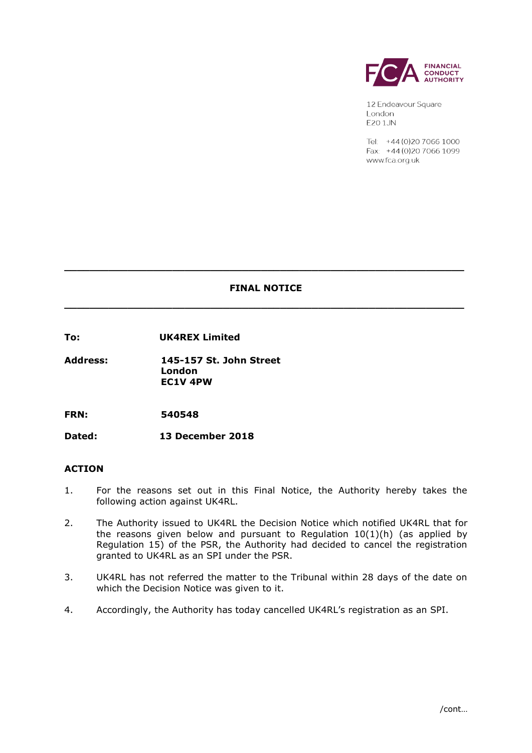

12 Endeavour Square London **E20 1JN** 

Tel: +44 (0) 20 7066 1000 Fax: +44 (0) 20 7066 1099 www.fca.org.uk

# **FINAL NOTICE**

**\_\_\_\_\_\_\_\_\_\_\_\_\_\_\_\_\_\_\_\_\_\_\_\_\_\_\_\_\_\_\_\_\_\_\_\_\_\_\_\_\_\_\_\_\_\_\_\_\_\_\_\_\_\_\_\_\_\_\_\_\_\_\_**

**\_\_\_\_\_\_\_\_\_\_\_\_\_\_\_\_\_\_\_\_\_\_\_\_\_\_\_\_\_\_\_\_\_\_\_\_\_\_\_\_\_\_\_\_\_\_\_\_\_\_\_\_\_\_\_\_\_\_\_\_\_\_\_**

**To: UK4REX Limited**

**Address: 145-157 St. John Street London EC1V 4PW**

**FRN: 540548**

**Dated: 13 December 2018**

## **ACTION**

- 1. For the reasons set out in this Final Notice, the Authority hereby takes the following action against UK4RL.
- 2. The Authority issued to UK4RL the Decision Notice which notified UK4RL that for the reasons given below and pursuant to Regulation 10(1)(h) (as applied by Regulation 15) of the PSR, the Authority had decided to cancel the registration granted to UK4RL as an SPI under the PSR.
- 3. UK4RL has not referred the matter to the Tribunal within 28 days of the date on which the Decision Notice was given to it.
- 4. Accordingly, the Authority has today cancelled UK4RL's registration as an SPI.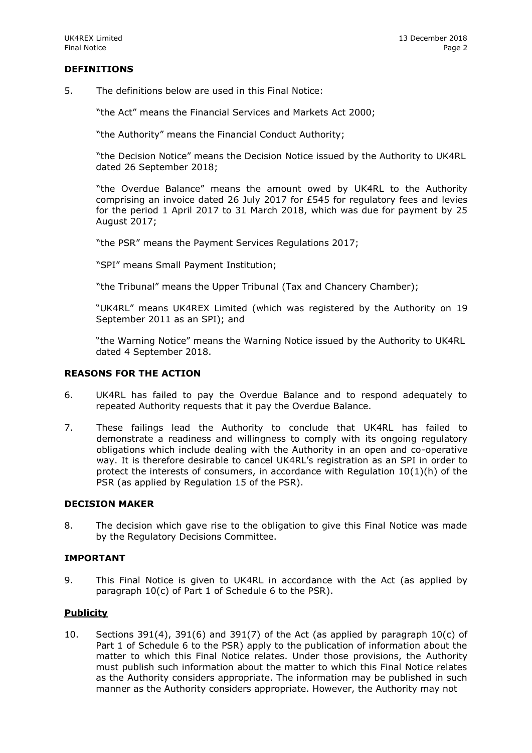## **DEFINITIONS**

5. The definitions below are used in this Final Notice:

"the Act" means the Financial Services and Markets Act 2000;

"the Authority" means the Financial Conduct Authority;

"the Decision Notice" means the Decision Notice issued by the Authority to UK4RL dated 26 September 2018;

"the Overdue Balance" means the amount owed by UK4RL to the Authority comprising an invoice dated 26 July 2017 for £545 for regulatory fees and levies for the period 1 April 2017 to 31 March 2018, which was due for payment by 25 August 2017;

"the PSR" means the Payment Services Regulations 2017;

"SPI" means Small Payment Institution;

"the Tribunal" means the Upper Tribunal (Tax and Chancery Chamber);

"UK4RL" means UK4REX Limited (which was registered by the Authority on 19 September 2011 as an SPI); and

"the Warning Notice" means the Warning Notice issued by the Authority to UK4RL dated 4 September 2018.

#### **REASONS FOR THE ACTION**

- 6. UK4RL has failed to pay the Overdue Balance and to respond adequately to repeated Authority requests that it pay the Overdue Balance.
- 7. These failings lead the Authority to conclude that UK4RL has failed to demonstrate a readiness and willingness to comply with its ongoing regulatory obligations which include dealing with the Authority in an open and co-operative way. It is therefore desirable to cancel UK4RL's registration as an SPI in order to protect the interests of consumers, in accordance with Regulation  $10(1)(h)$  of the PSR (as applied by Regulation 15 of the PSR).

### **DECISION MAKER**

8. The decision which gave rise to the obligation to give this Final Notice was made by the Regulatory Decisions Committee.

#### **IMPORTANT**

9. This Final Notice is given to UK4RL in accordance with the Act (as applied by paragraph 10(c) of Part 1 of Schedule 6 to the PSR).

## **Publicity**

10. Sections 391(4), 391(6) and 391(7) of the Act (as applied by paragraph  $10(c)$  of Part 1 of Schedule 6 to the PSR) apply to the publication of information about the matter to which this Final Notice relates. Under those provisions, the Authority must publish such information about the matter to which this Final Notice relates as the Authority considers appropriate. The information may be published in such manner as the Authority considers appropriate. However, the Authority may not